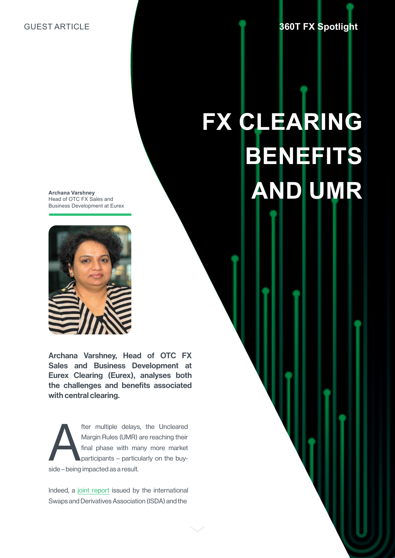## GUEST ARTICLE

## **FX CLEARING BENEFITS AND UMR**

**Archana Varshney** Head of OTC FX Sales and Business Development at Eurex



Archana Varshney, Head of OTC FX Sales and Business Development at Eurex Clearing (Eurex), analyses both the challenges and benefits associated with central clearing.

fter multiple delays, the Uncleared Margin Rules (UMR) are reaching their final phase with many more market participants – particularly on the buyside – being impacted as a result.

Indeed, a [joint report](https://www.isda.org/a/D6fEE/ISDA-SIFMA-Initial-Margin-Phase-in-White-Paper-July-2018.pdf) issued by the international Swaps and Derivatives Association (ISDA) and the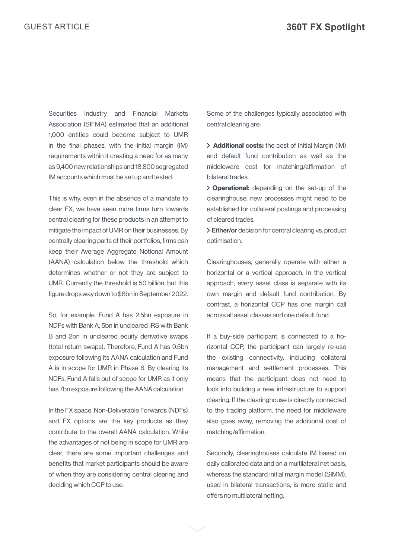Securities Industry and Financial Markets Association (SIFMA) estimated that an additional 1,000 entities could become subject to UMR in the final phases, with the initial margin (IM) requirements within it creating a need for as many as 9,400 new relationships and 18,800 segregated IM accounts which must be set up and tested.

This is why, even in the absence of a mandate to clear FX, we have seen more firms turn towards central clearing for these products in an attempt to mitigate the impact of UMR on their businesses. By centrally clearing parts of their portfolios, firms can keep their Average Aggregate Notional Amount (AANA) calculation below the threshold which determines whether or not they are subject to UMR. Currently the threshold is 50 billion, but this figure drops way down to \$8bn in September 2022.

So, for example, Fund A has 2.5bn exposure in NDFs with Bank A, 5bn in uncleared IRS with Bank B and 2bn in uncleared equity derivative swaps (total return swaps). Therefore, Fund A has 9.5bn exposure following its AANA calculation and Fund A is in scope for UMR in Phase 6. By clearing its NDFs, Fund A falls out of scope for UMR as it only has 7bn exposure following the AANA calculation.

In the FX space, Non-Deliverable Forwards (NDFs) and FX options are the key products as they contribute to the overall AANA calculation. While the advantages of not being in scope for UMR are clear, there are some important challenges and benefits that market participants should be aware of when they are considering central clearing and deciding which CCP to use.

Some of the challenges typically associated with central clearing are:

> **Additional costs:** the cost of Initial Margin (IM) and default fund contribution as well as the middleware cost for matching/affirmation of bilateral trades.

> Operational: depending on the set-up of the clearinghouse, new processes might need to be established for collateral postings and processing of cleared trades.

> Either/or decision for central clearing vs. product optimisation.

Clearinghouses, generally operate with either a horizontal or a vertical approach. In the vertical approach, every asset class is separate with its own margin and default fund contribution. By contrast, a horizontal CCP has one margin call across all asset classes and one default fund.

If a buy-side participant is connected to a horizontal CCP, the participant can largely re-use the existing connectivity, including collateral management and settlement processes. This means that the participant does not need to look into building a new infrastructure to support clearing. If the clearinghouse is directly connected to the trading platform, the need for middleware also goes away, removing the additional cost of matching/affirmation.

Secondly, clearinghouses calculate IM based on daily calibrated data and on a multilateral net basis, whereas the standard initial margin model (SIMM), used in bilateral transactions, is more static and offers no multilateral netting.